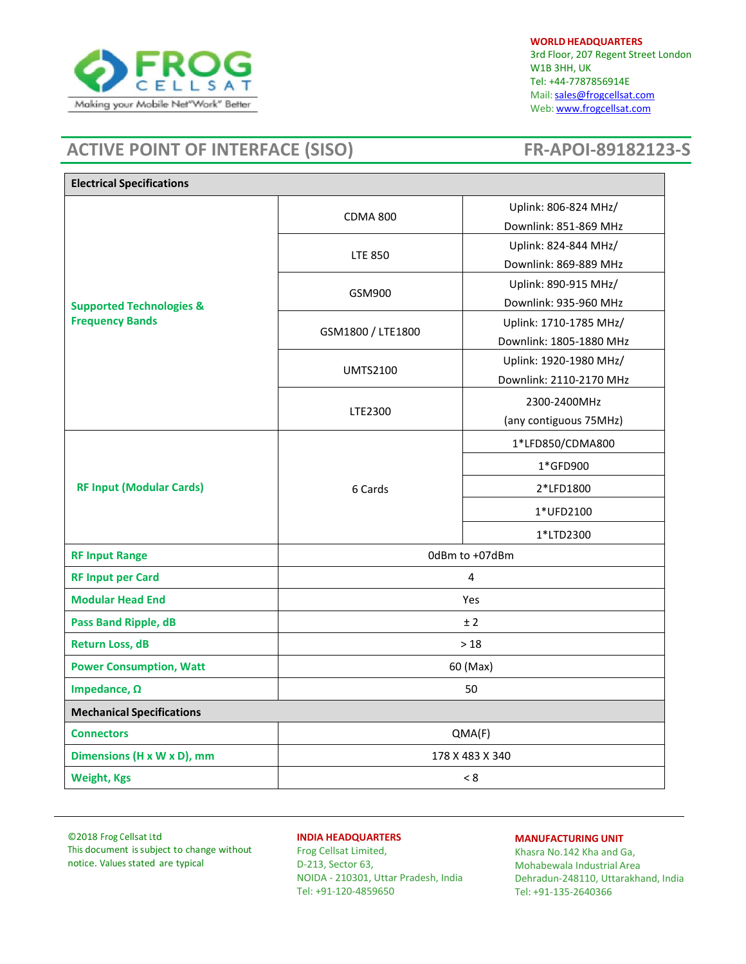

**WORLD HEADQUARTERS** 3rd Floor, 207 Regent Street London W1B 3HH, UK Tel: +44-7787856914E Mail: sales@frogcellsat.com Web: [www.frogcellsat.com](http://www.frogcellsat.com/)

# **ACTIVE POINT OF INTERFACE (SISO) FR‐APOI‐89182123-S**

| <b>Electrical Specifications</b>                              |                   |                         |
|---------------------------------------------------------------|-------------------|-------------------------|
| <b>Supported Technologies &amp;</b><br><b>Frequency Bands</b> | <b>CDMA 800</b>   | Uplink: 806-824 MHz/    |
|                                                               |                   | Downlink: 851-869 MHz   |
|                                                               | <b>LTE 850</b>    | Uplink: 824-844 MHz/    |
|                                                               |                   | Downlink: 869-889 MHz   |
|                                                               | GSM900            | Uplink: 890-915 MHz/    |
|                                                               |                   | Downlink: 935-960 MHz   |
|                                                               | GSM1800 / LTE1800 | Uplink: 1710-1785 MHz/  |
|                                                               |                   | Downlink: 1805-1880 MHz |
|                                                               | <b>UMTS2100</b>   | Uplink: 1920-1980 MHz/  |
|                                                               |                   | Downlink: 2110-2170 MHz |
|                                                               | LTE2300           | 2300-2400MHz            |
|                                                               |                   | (any contiguous 75MHz)  |
| <b>RF Input (Modular Cards)</b>                               | 6 Cards           | 1*LFD850/CDMA800        |
|                                                               |                   | 1*GFD900                |
|                                                               |                   | 2*LFD1800               |
|                                                               |                   | 1*UFD2100               |
|                                                               |                   | 1*LTD2300               |
| <b>RF Input Range</b>                                         | 0dBm to +07dBm    |                         |
| <b>RF Input per Card</b>                                      | 4                 |                         |
| <b>Modular Head End</b>                                       | Yes               |                         |
| <b>Pass Band Ripple, dB</b>                                   | ± 2               |                         |
| <b>Return Loss, dB</b>                                        | >18               |                         |
| <b>Power Consumption, Watt</b>                                | 60 (Max)          |                         |
| Impedance, $\Omega$                                           | 50                |                         |
| <b>Mechanical Specifications</b>                              |                   |                         |
| <b>Connectors</b>                                             | QMA(F)            |                         |
| Dimensions (H x W x D), mm                                    | 178 X 483 X 340   |                         |
| <b>Weight, Kgs</b>                                            | < 8               |                         |

©2018 Frog Cellsat Ltd This document issubject to change without notice. Values stated are typical

# **INDIA HEADQUARTERS**

Frog Cellsat Limited, D-213, Sector 63, NOIDA - 210301, Uttar Pradesh, India Tel: +91-120-4859650

#### **MANUFACTURING UNIT**

Khasra No.142 Kha and Ga, Mohabewala Industrial Area Dehradun-248110, Uttarakhand, India Tel: +91-135-2640366